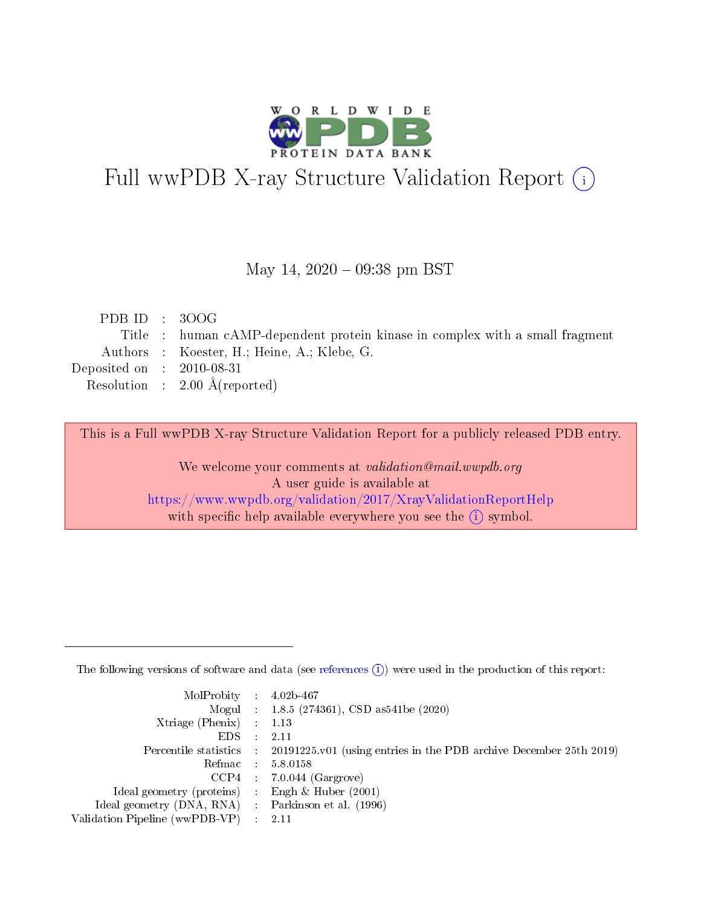

# Full wwPDB X-ray Structure Validation Report (i)

#### May 14,  $2020 - 09:38$  pm BST

| PDB ID : $300G$             |                                                                              |
|-----------------------------|------------------------------------------------------------------------------|
|                             | Title : human cAMP-dependent protein kinase in complex with a small fragment |
|                             | Authors : Koester, H.; Heine, A.; Klebe, G.                                  |
| Deposited on : $2010-08-31$ |                                                                              |
|                             | Resolution : $2.00 \text{ Å}$ (reported)                                     |
|                             |                                                                              |

This is a Full wwPDB X-ray Structure Validation Report for a publicly released PDB entry.

We welcome your comments at validation@mail.wwpdb.org A user guide is available at <https://www.wwpdb.org/validation/2017/XrayValidationReportHelp> with specific help available everywhere you see the  $(i)$  symbol.

The following versions of software and data (see [references](https://www.wwpdb.org/validation/2017/XrayValidationReportHelp#references)  $(1)$ ) were used in the production of this report:

| $MolProbability$ 4.02b-467                          |               |                                                                                            |
|-----------------------------------------------------|---------------|--------------------------------------------------------------------------------------------|
|                                                     |               | Mogul : $1.8.5$ (274361), CSD as 541be (2020)                                              |
| Xtriage (Phenix) $: 1.13$                           |               |                                                                                            |
| EDS.                                                | $\mathcal{L}$ | -2.11                                                                                      |
|                                                     |               | Percentile statistics : 20191225.v01 (using entries in the PDB archive December 25th 2019) |
|                                                     |               | Refmac $5.8.0158$                                                                          |
| CCP4                                                |               | $7.0.044$ (Gargrove)                                                                       |
| Ideal geometry (proteins)                           | $\sim$        | Engh $\&$ Huber (2001)                                                                     |
| Ideal geometry (DNA, RNA) : Parkinson et al. (1996) |               |                                                                                            |
| Validation Pipeline (wwPDB-VP) : 2.11               |               |                                                                                            |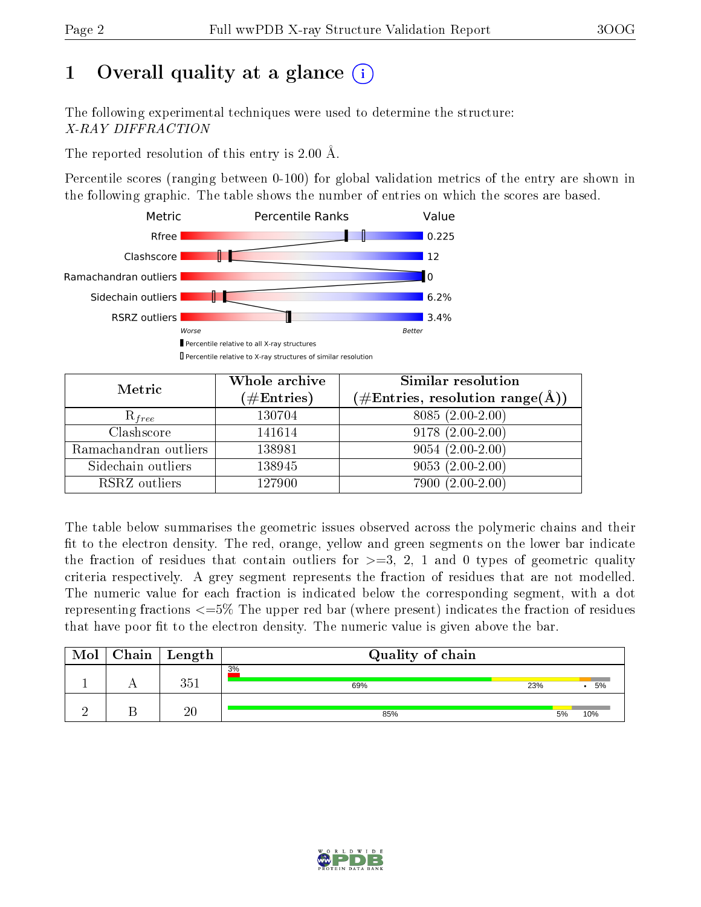# 1 [O](https://www.wwpdb.org/validation/2017/XrayValidationReportHelp#overall_quality)verall quality at a glance  $(i)$

The following experimental techniques were used to determine the structure: X-RAY DIFFRACTION

The reported resolution of this entry is 2.00 Å.

Percentile scores (ranging between 0-100) for global validation metrics of the entry are shown in the following graphic. The table shows the number of entries on which the scores are based.



| Metric                | Whole archive<br>$(\#\mathrm{Entries})$ | Similar resolution<br>$(\#\text{Entries},\,\text{resolution}\,\,\text{range}(\textup{\AA}))$ |
|-----------------------|-----------------------------------------|----------------------------------------------------------------------------------------------|
| $R_{free}$            | 130704                                  | $8085(2.00-2.00)$                                                                            |
| Clashscore            | 141614                                  | $9178(2.00-2.00)$                                                                            |
| Ramachandran outliers | 138981                                  | $9054(2.00-2.00)$                                                                            |
| Sidechain outliers    | 138945                                  | $9053(2.00-2.00)$                                                                            |
| RSRZ outliers         | 127900                                  | $7900(2.00-2.00)$                                                                            |

The table below summarises the geometric issues observed across the polymeric chains and their fit to the electron density. The red, orange, yellow and green segments on the lower bar indicate the fraction of residues that contain outliers for  $>=3, 2, 1$  and 0 types of geometric quality criteria respectively. A grey segment represents the fraction of residues that are not modelled. The numeric value for each fraction is indicated below the corresponding segment, with a dot representing fractions  $\epsilon=5\%$  The upper red bar (where present) indicates the fraction of residues that have poor fit to the electron density. The numeric value is given above the bar.

| Mol | $Chain \  Length$ | Quality of chain |     |    |     |
|-----|-------------------|------------------|-----|----|-----|
|     | $351\,$           | 3%<br>69%        | 23% |    | 5%  |
|     | 20                | 85%              |     | 5% | 10% |

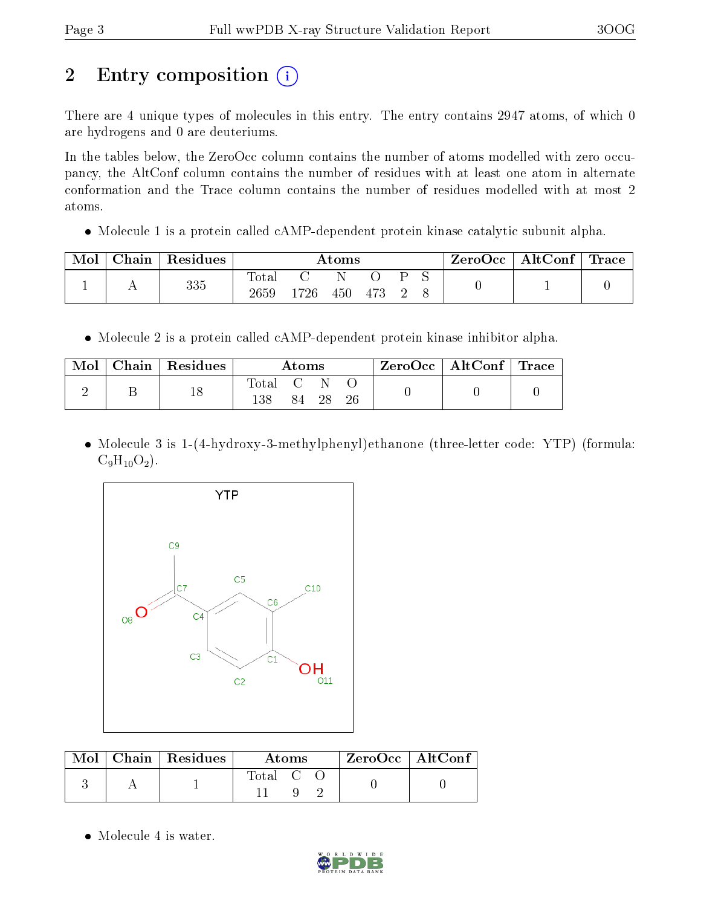# 2 Entry composition (i)

There are 4 unique types of molecules in this entry. The entry contains 2947 atoms, of which 0 are hydrogens and 0 are deuteriums.

In the tables below, the ZeroOcc column contains the number of atoms modelled with zero occupancy, the AltConf column contains the number of residues with at least one atom in alternate conformation and the Trace column contains the number of residues modelled with at most 2 atoms.

• Molecule 1 is a protein called cAMP-dependent protein kinase catalytic subunit alpha.

| Mol | Chain | $\mid$ Residues | Atoms               |      |     |     | $\text{ZeroOcc}$   AltConf   Trace |  |  |  |
|-----|-------|-----------------|---------------------|------|-----|-----|------------------------------------|--|--|--|
|     |       | 335             | $\rm Total$<br>2659 | 1726 | 450 | 473 |                                    |  |  |  |

• Molecule 2 is a protein called cAMP-dependent protein kinase inhibitor alpha.

| Mol | Chain   Residues | Atoms            |     |    |  | $\rm ZeroOcc$   AltConf   Trace |  |
|-----|------------------|------------------|-----|----|--|---------------------------------|--|
|     |                  | Total C N<br>138 | 84. | 28 |  |                                 |  |

• Molecule 3 is 1-(4-hydroxy-3-methylphenyl)ethanone (three-letter code: YTP) (formula:  $C_9H_{10}O_2$ ).



|  | $\text{Mol}$   Chain   Residues | Atoms     | ZeroOcc   AltConf |
|--|---------------------------------|-----------|-------------------|
|  |                                 | Total C O |                   |

• Molecule 4 is water.

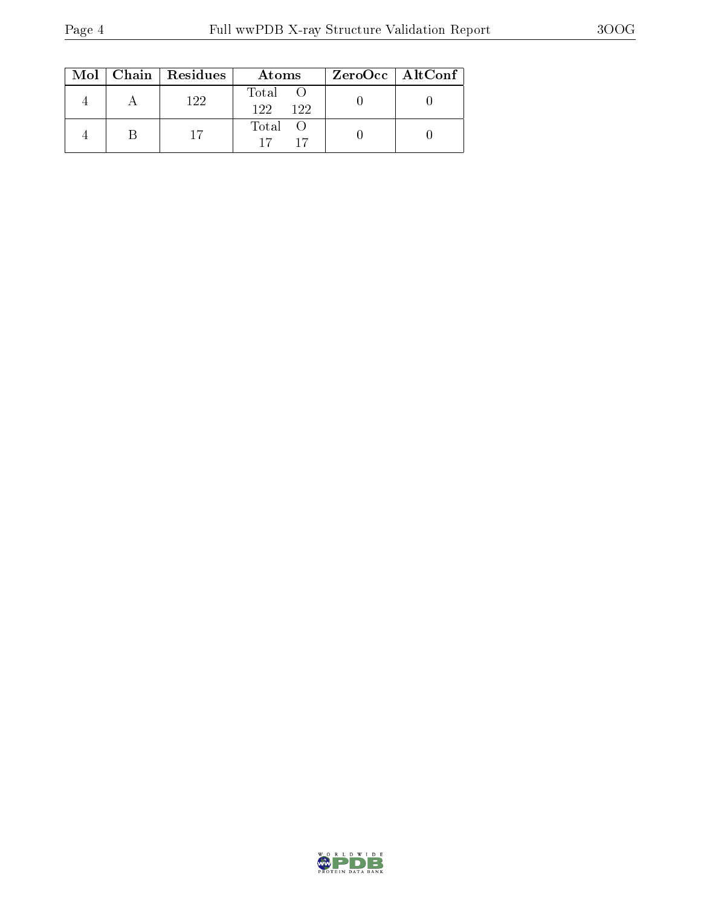|  | $Mol$   Chain   Residues | Atoms                | ZeroOcc   AltConf |
|--|--------------------------|----------------------|-------------------|
|  | 122                      | Total<br>122.<br>122 |                   |
|  |                          | Total O<br>17        |                   |

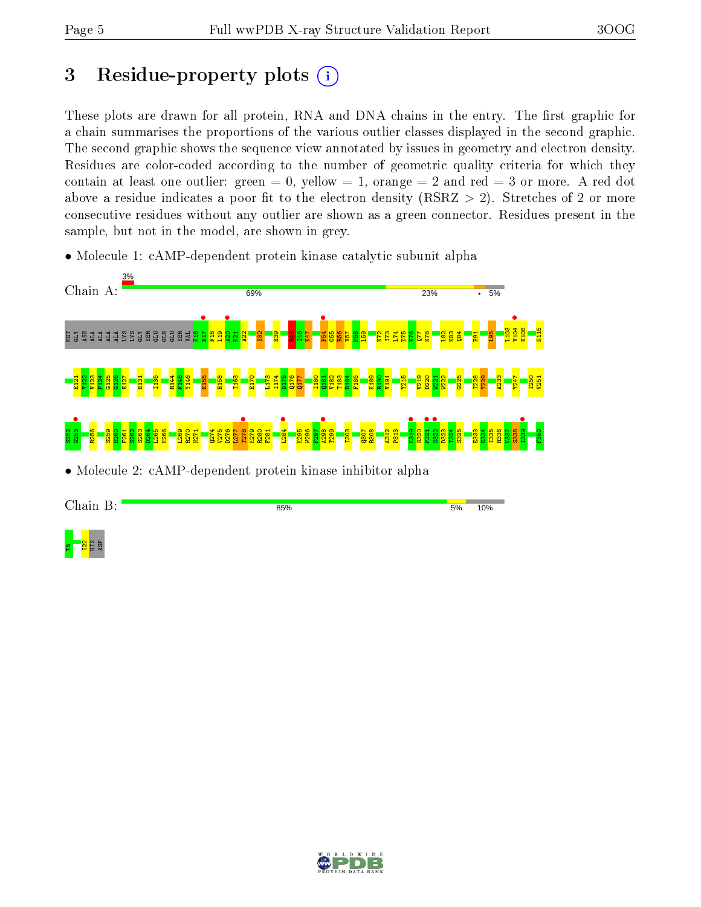## 3 Residue-property plots  $(i)$

These plots are drawn for all protein, RNA and DNA chains in the entry. The first graphic for a chain summarises the proportions of the various outlier classes displayed in the second graphic. The second graphic shows the sequence view annotated by issues in geometry and electron density. Residues are color-coded according to the number of geometric quality criteria for which they contain at least one outlier: green  $= 0$ , yellow  $= 1$ , orange  $= 2$  and red  $= 3$  or more. A red dot above a residue indicates a poor fit to the electron density (RSRZ  $> 2$ ). Stretches of 2 or more consecutive residues without any outlier are shown as a green connector. Residues present in the sample, but not in the model, are shown in grey.

• Molecule 1: cAMP-dependent protein kinase catalytic subunit alpha



• Molecule 2: cAMP-dependent protein kinase inhibitor alpha



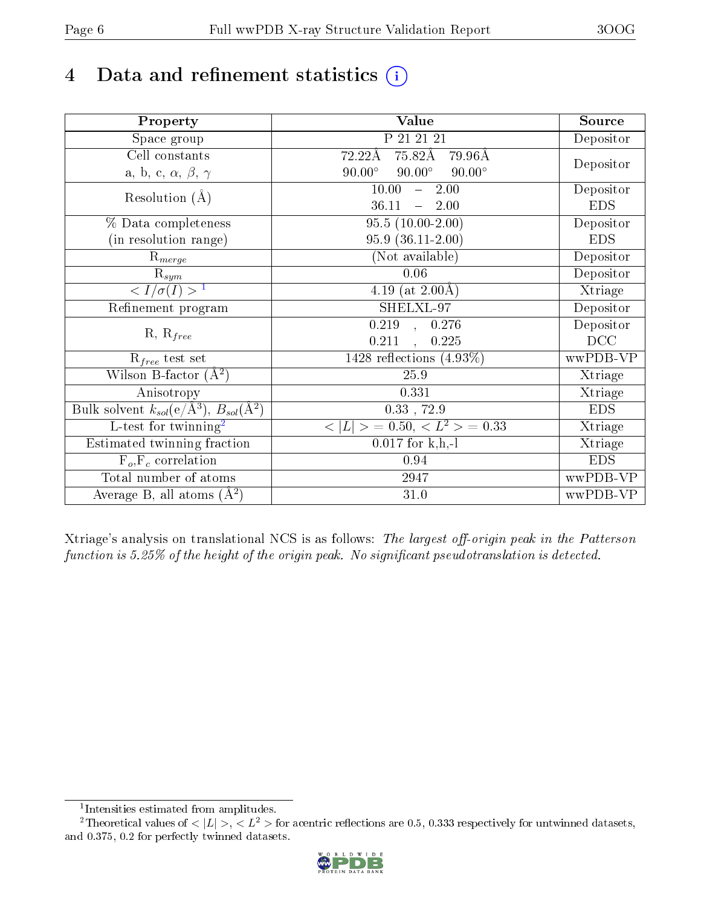# 4 Data and refinement statistics  $(i)$

| Property                                                             | <b>Value</b>                                     | Source     |
|----------------------------------------------------------------------|--------------------------------------------------|------------|
| Space group                                                          | P 21 21 21                                       | Depositor  |
| Cell constants                                                       | 75.82Å<br>$72.22\text{\AA}$<br>$79.96\text{\AA}$ |            |
| a, b, c, $\alpha$ , $\beta$ , $\gamma$                               | $90.00^\circ$<br>$90.00^\circ$<br>$90.00^\circ$  | Depositor  |
| Resolution $(A)$                                                     | 2.00<br>10.00<br>$\frac{1}{2}$                   | Depositor  |
|                                                                      | 36.11<br>2.00<br>$\equiv$                        | <b>EDS</b> |
| % Data completeness                                                  | $95.5(10.00-2.00)$                               | Depositor  |
| (in resolution range)                                                | $95.9(36.11-2.00)$                               | <b>EDS</b> |
| $R_{merge}$                                                          | (Not available)                                  | Depositor  |
| $\mathrm{R}_{sym}$                                                   | 0.06                                             | Depositor  |
| $\langle I/\sigma(I) \rangle^{-1}$                                   | 4.19 (at $2.00\text{\AA}$ )                      | Xtriage    |
| Refinement program                                                   | SHELXL-97                                        | Depositor  |
| $R, R_{free}$                                                        | 0.219<br>0.276<br>$\subset,$                     | Depositor  |
|                                                                      | 0.211<br>0.225<br>$\ddot{\phantom{a}}$           | DCC        |
| $R_{free}$ test set                                                  | 1428 reflections $(4.93\%)$                      | wwPDB-VP   |
| Wilson B-factor $(A^2)$                                              | 25.9                                             | Xtriage    |
| Anisotropy                                                           | 0.331                                            | Xtriage    |
| Bulk solvent $k_{sol}(e/\mathring{A}^3)$ , $B_{sol}(\mathring{A}^2)$ | $0.33$ , 72.9                                    | <b>EDS</b> |
| L-test for twinning <sup>2</sup>                                     | $>$ = 0.50, < $L^2$ > = 0.33<br>< L              | Xtriage    |
| Estimated twinning fraction                                          | $0.017$ for k,h,-l                               | Xtriage    |
| $F_o, F_c$ correlation                                               | 0.94                                             | <b>EDS</b> |
| Total number of atoms                                                | 2947                                             | wwPDB-VP   |
| Average B, all atoms $(A^2)$                                         | $31.0\,$                                         | wwPDB-VP   |

Xtriage's analysis on translational NCS is as follows: The largest off-origin peak in the Patterson function is  $5.25\%$  of the height of the origin peak. No significant pseudotranslation is detected.

<sup>&</sup>lt;sup>2</sup>Theoretical values of  $\langle |L| \rangle$ ,  $\langle L^2 \rangle$  for acentric reflections are 0.5, 0.333 respectively for untwinned datasets, and 0.375, 0.2 for perfectly twinned datasets.



<span id="page-5-1"></span><span id="page-5-0"></span><sup>1</sup> Intensities estimated from amplitudes.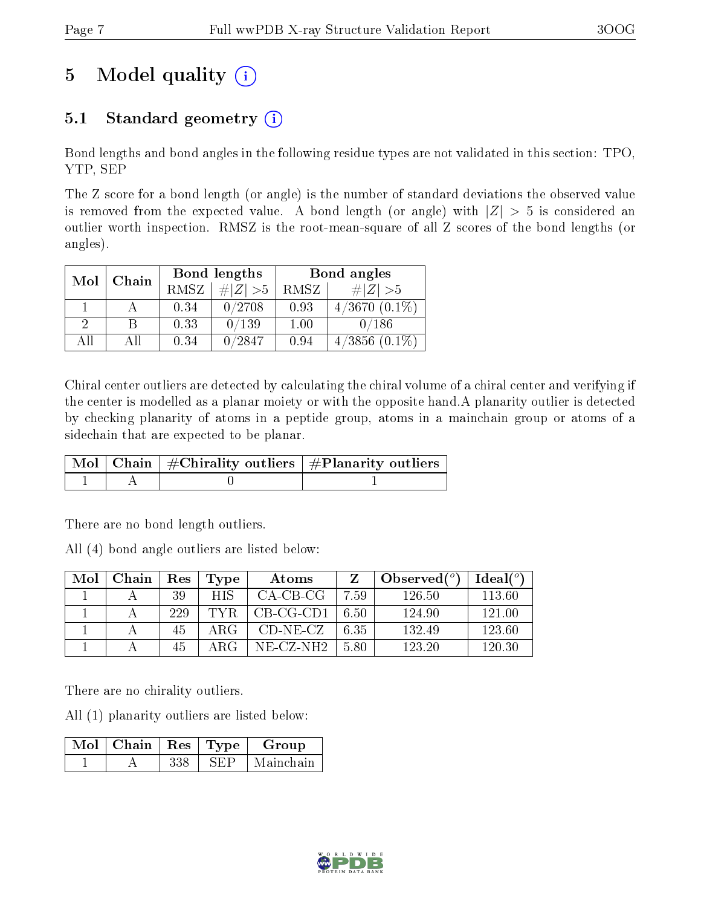# 5 Model quality  $(i)$

## 5.1 Standard geometry  $(i)$

Bond lengths and bond angles in the following residue types are not validated in this section: TPO, YTP, SEP

The Z score for a bond length (or angle) is the number of standard deviations the observed value is removed from the expected value. A bond length (or angle) with  $|Z| > 5$  is considered an outlier worth inspection. RMSZ is the root-mean-square of all Z scores of the bond lengths (or angles).

| Mol | Chain |             | Bond lengths | Bond angles |                    |  |
|-----|-------|-------------|--------------|-------------|--------------------|--|
|     |       | <b>RMSZ</b> | $\ Z\  > 5$  | RMSZ        | # $ Z  > 5$        |  |
|     |       | 0.34        | 0/2708       | 0.93        | $4/3670(0.1\%)$    |  |
| 2   | В     | 0.33        | 0/139        | 1.00        | 0/186              |  |
| All | All   | 0.34        | 0/2847       | 0.94        | $4/3856$ $(0.1\%)$ |  |

Chiral center outliers are detected by calculating the chiral volume of a chiral center and verifying if the center is modelled as a planar moiety or with the opposite hand.A planarity outlier is detected by checking planarity of atoms in a peptide group, atoms in a mainchain group or atoms of a sidechain that are expected to be planar.

|  | $\mid$ Mol $\mid$ Chain $\mid$ #Chirality outliers $\mid$ #Planarity outliers $\mid$ |
|--|--------------------------------------------------------------------------------------|
|  |                                                                                      |

There are no bond length outliers.

All (4) bond angle outliers are listed below:

| Mol | Chain | Res | Type       | Atoms       |      | Observed $(^\circ)$ | Ideal(°) |
|-----|-------|-----|------------|-------------|------|---------------------|----------|
|     |       | 39  | <b>HIS</b> | $CA-CB-CG$  | 7.59 | 126.50              | 113.60   |
|     |       | 229 | TYR.       | $CB-CG-CD1$ | 6.50 | 124.90              | 121.00   |
|     |       | 45  | ARG        | $CD-NE- CZ$ | 6.35 | 132.49              | 123.60   |
|     |       | 45  | A R G      | NE-CZ-NH2   | 5.80 | 123.20              | 120.30   |

There are no chirality outliers.

All (1) planarity outliers are listed below:

| $\text{Mol}$   Chain   Res   Type ' |      | Group     |
|-------------------------------------|------|-----------|
|                                     | Ч∺ Р | Mainchain |

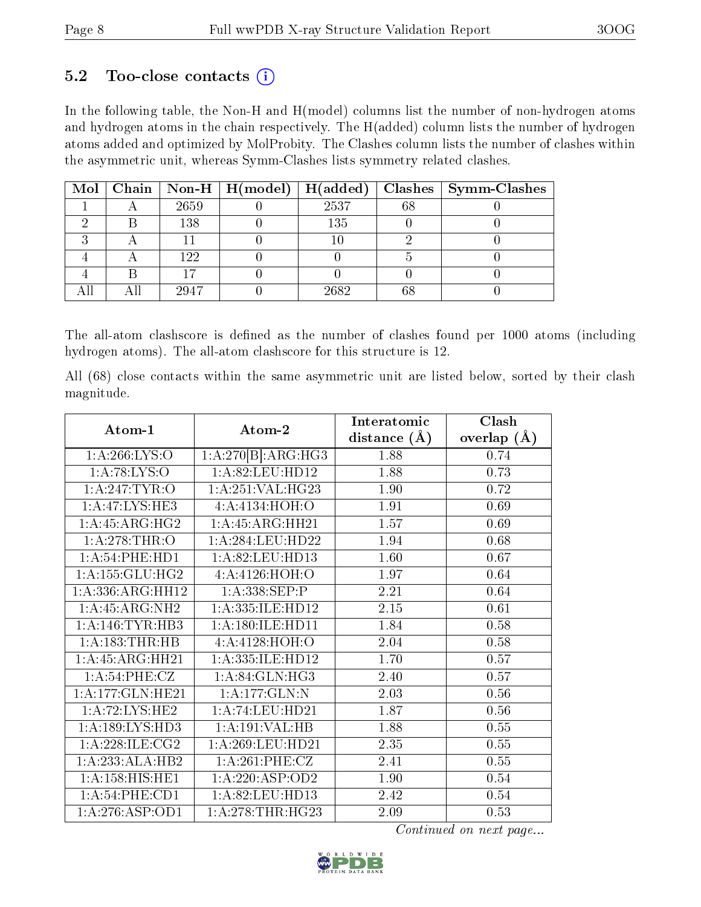### $5.2$  Too-close contacts  $(i)$

In the following table, the Non-H and H(model) columns list the number of non-hydrogen atoms and hydrogen atoms in the chain respectively. The H(added) column lists the number of hydrogen atoms added and optimized by MolProbity. The Clashes column lists the number of clashes within the asymmetric unit, whereas Symm-Clashes lists symmetry related clashes.

|  |      | Mol   Chain   Non-H   H(model)   H(added) |      |    | $\vert$ Clashes $\vert$ Symm-Clashes |
|--|------|-------------------------------------------|------|----|--------------------------------------|
|  | 2659 |                                           | 2537 | 68 |                                      |
|  | 138  |                                           | 135  |    |                                      |
|  |      |                                           |      |    |                                      |
|  | 122  |                                           |      |    |                                      |
|  |      |                                           |      |    |                                      |
|  | 2947 |                                           | 2682 |    |                                      |

The all-atom clashscore is defined as the number of clashes found per 1000 atoms (including hydrogen atoms). The all-atom clashscore for this structure is 12.

All (68) close contacts within the same asymmetric unit are listed below, sorted by their clash magnitude.

| Atom-1                      | Atom-2               | Interatomic      | Clash           |
|-----------------------------|----------------------|------------------|-----------------|
|                             |                      | distance $(\AA)$ | overlap $(\AA)$ |
| 1: A:266: LYS:O             | 1:A:270[B]:ARG:HG3   | 1.88             | 0.74            |
| 1: A:78: LYS:O              | 1: A:82: LEU: HD12   | 1.88             | 0.73            |
| 1: A:247:TYR:O              | 1:A:251:VAL:HG23     | 1.90             | 0.72            |
| 1:A:47:LYS:HE3              | 4:A:4134:HOH:O       | 1.91             | 0.69            |
| 1: A: 45: ARG: HG2          | 1: A: 45: ARG: HH21  | 1.57             | 0.69            |
| 1: A:278:THR:O              | 1: A:284:LEU:HD22    | 1.94             | 0.68            |
| 1: A:54:PHE:HD1             | 1:A:82:LEU:HD13      | 1.60             | 0.67            |
| 1: A: 155: GLU: HG2         | 4:A:4126:HOH:O       | 1.97             | 0.64            |
| 1:A:336:ARG:HH12            | 1:A:338:SEP:P        | 2.21             | 0.64            |
| $1:A:45:A\overline{RG:NH2}$ | 1:A:335:ILE:HD12     | 2.15             | 0.61            |
| 1: A:146: TYR:HB3           | 1: A: 180: ILE: HD11 | 1.84             | 0.58            |
| 1:A:183:THR:HB              | 4:A:4128:HOH:O       | 2.04             | 0.58            |
| 1:A:45:ARG:HH21             | 1:A:335:ILE:HD12     | 1.70             | 0.57            |
| 1: A:54:PHE:CZ              | 1: A:84: GLN:HG3     | 2.40             | 0.57            |
| 1:A:177:GLN:HE21            | 1:A:177:GLN:N        | 2.03             | 0.56            |
| 1:A:72:LYS:HE2              | 1:A:74:LEU:HD21      | 1.87             | 0.56            |
| 1: A: 189: LYS: HD3         | 1:A:191:VAL:HB       | 1.88             | 0.55            |
| 1: A:228: ILE: CG2          | 1: A:269:LEU:HD21    | 2.35             | 0.55            |
| 1:A:233:ALA:HB2             | 1: A:261:PHE:CZ      | 2.41             | 0.55            |
| 1: A: 158: HIS: HE1         | 1: A:220: ASP:OD2    | 1.90             | 0.54            |
| 1:A:54:PHE:CD1              | 1:A:82:LEU:HD13      | 2.42             | 0.54            |
| 1:A:276:ASP:OD1             | 1: A:278:THR:HG23    | 2.09             | 0.53            |

Continued on next page...

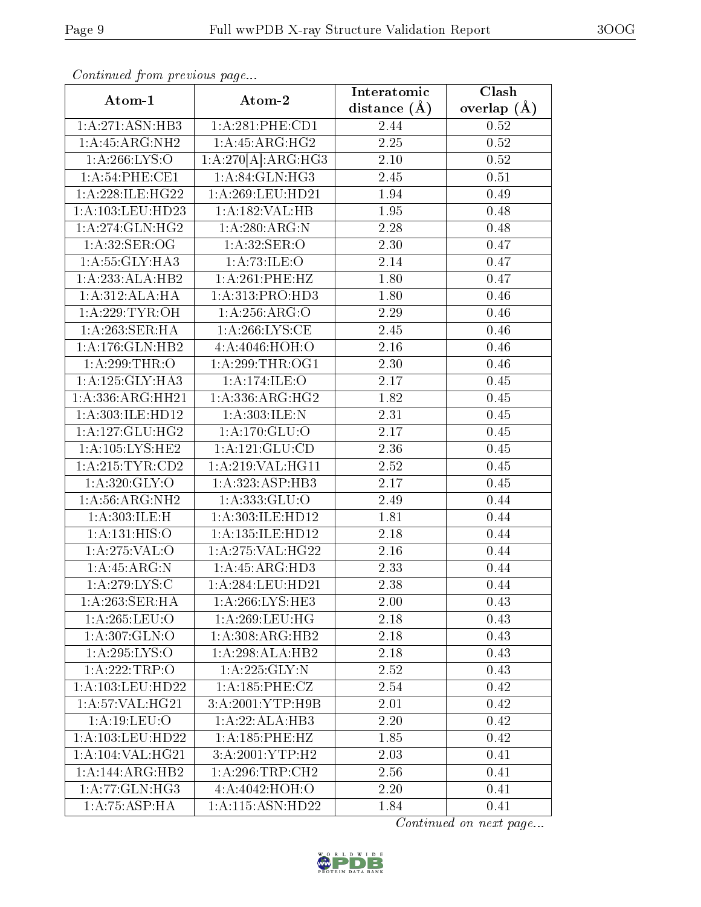| Continuata from previous page |                    | Interatomic       | Clash             |
|-------------------------------|--------------------|-------------------|-------------------|
| Atom-1                        | Atom-2             | distance $(\AA)$  | overlap $(\AA)$   |
| 1:A:271:ASN:HB3               | 1: A:281:PHE:CD1   | 2.44              | 0.52              |
| 1: A: 45: ARG: NH2            | 1:A:45:ARG:HG2     | 2.25              | $\overline{0.52}$ |
| 1: A:266: LYS:O               | 1:A:270[A]:ARG:HG3 | 2.10              | 0.52              |
| 1:A:54:PHE:CE1                | 1:A:84:GLN:HG3     | 2.45              | 0.51              |
| 1: A:228: ILE: HG22           | 1:A:269:LEU:HD21   | 1.94              | 0.49              |
| 1:A:103:LEU:HD23              | 1: A: 182: VAL: HB | 1.95              | 0.48              |
| 1:A:274:GLN:HG2               | 1:A:280:ARG:N      | $\overline{2.28}$ | 0.48              |
| 1: A:32: SER:OG               | 1: A:32: SER:O     | 2.30              | 0.47              |
| 1: A: 55: GLY: HA3            | 1:A:73:ILE:O       | 2.14              | 0.47              |
| 1:A:233:ALA:HB2               | 1: A:261:PHE:HZ    | 1.80              | 0.47              |
| 1:A:312:ALA:HA                | 1:A:313:PRO:HD3    | 1.80              | 0.46              |
| 1: A:229:TYR:OH               | 1: A:256: ARG:O    | 2.29              | 0.46              |
| 1:A:263:SER:HA                | 1:A:266:LYS:CE     | 2.45              | 0.46              |
| 1:A:176:GLN:HB2               | 4:A:4046:HOH:O     | 2.16              | 0.46              |
| 1: A:299:THR:O                | 1: A:299:THR:OG1   | 2.30              | 0.46              |
| 1: A: 125: GLY: HA3           | 1:A:174:ILE:O      | 2.17              | 0.45              |
| 1:A:336:ARG:HH21              | 1:A:336:ARG:HG2    | 1.82              | 0.45              |
| 1:A:303:ILE:HD12              | 1:A:303:ILE:N      | 2.31              | 0.45              |
| 1: A: 127: GLU: HG2           | 1: A:170: GLU:O    | 2.17              | 0.45              |
| 1: A: 105: LYS: HE2           | 1: A: 121: GLU: CD | 2.36              | 0.45              |
| 1: A:215: TYR: CD2            | 1:A:219:VAL:HG11   | 2.52              | 0.45              |
| $1:A:\overline{320:GLY:O}$    | 1:A:323:ASP:HB3    | 2.17              | 0.45              |
| 1: A:56: ARG: NH2             | 1: A: 333: GLU: O  | 2.49              | 0.44              |
| 1:A:303:ILE:H                 | 1:A:303:ILE:HD12   | 1.81              | 0.44              |
| 1: A:131: HIS:O               | 1:A:135:ILE:HD12   | 2.18              | 0.44              |
| 1: A:275: VAL:O               | 1: A:275: VAL:HG22 | 2.16              | 0.44              |
| 1:A:45:ARG:N                  | 1:A:45:ARG:HD3     | 2.33              | 0.44              |
| 1: A:279: LYS:C               | 1:A:284:LEU:HD21   | 2.38              | 0.44              |
| 1:A:263:SER:HA                | 1: A:266: LYS: HE3 | 2.00              | 0.43              |
| 1:A:265:LEU:O                 | 1: A:269:LEU:HG    | 2.18              | 0.43              |
| 1: A: 307: GLN:O              | 1:A:308:ARG:HB2    | 2.18              | 0.43              |
| 1:A:295:LYS:O                 | 1:A:298:ALA:HB2    | 2.18              | 0.43              |
| 1:A:222:TRP:O                 | 1: A: 225: GLY: N  | 2.52              | 0.43              |
| 1:A:103:LEU:HD22              | 1: A: 185: PHE: CZ | 2.54              | 0.42              |
| 1:A:57:VAL:HG21               | 3:A:2001:YTP:H9B   | 2.01              | 0.42              |
| 1: A:19:LEU:O                 | 1:A:22:ALA:HB3     | 2.20              | 0.42              |
| 1: A: 103: LEU: HD22          | 1: A: 185: PHE: HZ | 1.85              | 0.42              |
| 1:A:104:VAL:HG21              | 3:A:2001:YTP:H2    | 2.03              | 0.41              |
| 1:A:144:ARG:HB2               | 1: A:296:TRP:CH2   | 2.56              | 0.41              |
| 1: A:77: GLN: HG3             | 4:A:4042:HOH:O     | 2.20              | 0.41              |
| 1:A:75:ASP:HA                 | 1:A:115:ASN:HD22   | 1.84              | 0.41              |

Continued from previous page.

Continued on next page...

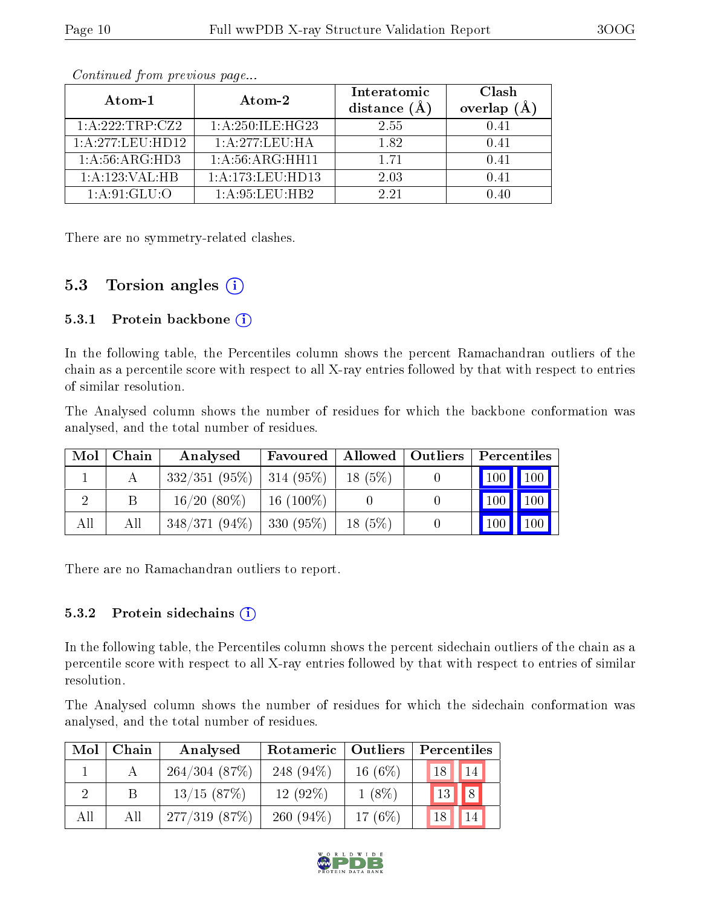| Atom-1            | Atom-2                               | Interatomic<br>distance $(A)$ | Clash<br>overlap $(A)$ |
|-------------------|--------------------------------------|-------------------------------|------------------------|
| 1:A:222:TRP:CZ2   | 1:A:250:ILE:HG23                     | 2.55                          | 0.41                   |
| 1: A:277:LEU:HD12 | 1:A:277:LEU:HA                       | 182                           | 0.41                   |
| 1: A:56: ARG:HD3  | 1: A:56: ARG: HH11                   | 1 71                          | 0.41                   |
| 1:A:123:VAL:HB    | 1:A:173:LEU:HD13                     | 2.03                          | 0.41                   |
| 1:A:91:GLU:O      | $1 \cdot A \cdot 95 \cdot I$ FII HR2 | 2.21                          | 140                    |

Continued from previous page...

There are no symmetry-related clashes.

### 5.3 Torsion angles  $(i)$

#### 5.3.1 Protein backbone  $(i)$

In the following table, the Percentiles column shows the percent Ramachandran outliers of the chain as a percentile score with respect to all X-ray entries followed by that with respect to entries of similar resolution.

The Analysed column shows the number of residues for which the backbone conformation was analysed, and the total number of residues.

| Mol | Chain | Analysed                     | Favoured     |           | Allowed   Outliers | $\mid$ Percentiles |                                 |
|-----|-------|------------------------------|--------------|-----------|--------------------|--------------------|---------------------------------|
|     |       | $332/351(95\%)$   314 (95\%) |              | $18(5\%)$ |                    |                    | 100 100                         |
|     |       | $16/20(80\%)$                | $16(100\%)$  |           |                    |                    | $\vert$ 100 $\vert$ 100 $\vert$ |
| All | All   | $348/371(94\%)$              | $1330(95\%)$ | $18(5\%)$ |                    |                    | $\vert$ 100   100               |

There are no Ramachandran outliers to report.

#### 5.3.2 Protein sidechains  $(i)$

In the following table, the Percentiles column shows the percent sidechain outliers of the chain as a percentile score with respect to all X-ray entries followed by that with respect to entries of similar resolution.

The Analysed column shows the number of residues for which the sidechain conformation was analysed, and the total number of residues.

| Mol | Chain | Analysed     | Outliers<br>Rotameric |            | Percentiles           |  |  |
|-----|-------|--------------|-----------------------|------------|-----------------------|--|--|
|     |       | 264/304(87%) | 248 $(94\%)$          | 16 $(6\%)$ | <sup>14</sup><br>18   |  |  |
|     |       | 13/15(87%)   | $12(92\%)$            | $1(8\%)$   | 8 <sub>1</sub><br> 13 |  |  |
| All | All   | 277/319(87%) | 260 $(94\%)$          | 17 $(6%)$  |                       |  |  |

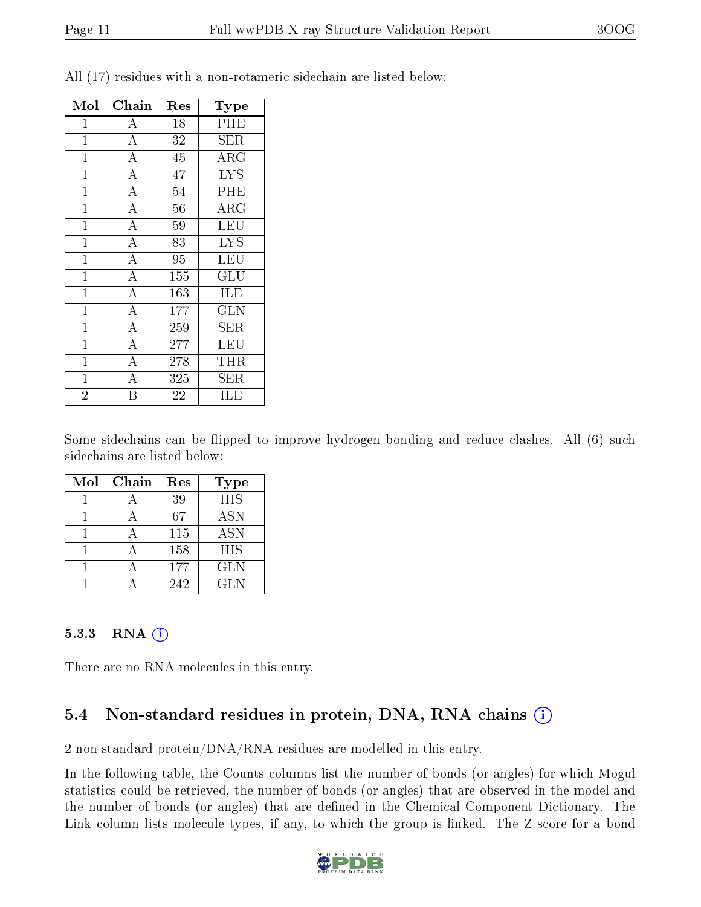| Mol            | Chain              | Res             | Type                  |
|----------------|--------------------|-----------------|-----------------------|
| $\mathbf 1$    | $\boldsymbol{A}$   | 18              | PHE                   |
| $\mathbf{1}$   | $\overline{A}$     | 32              | SER                   |
| $\overline{1}$ | $\overline{A}$     | $\overline{45}$ | $\overline{\rm{ARG}}$ |
| $\overline{1}$ | $\overline{A}$     | 47              | <b>LYS</b>            |
| $\mathbf 1$    | $\overline{\rm A}$ | 54              | PHE                   |
| $\mathbf{1}$   | $\overline{\rm A}$ | 56              | $\rm{ARG}$            |
| $\mathbf{1}$   | $\overline{\rm A}$ | 59              | <b>LEU</b>            |
| $\overline{1}$ | $\overline{A}$     | 83              | <b>LYS</b>            |
| $\overline{1}$ | $\overline{\rm A}$ | 95              | <b>LEU</b>            |
| $\mathbf{1}$   | $\overline{\rm A}$ | 155             | GLU                   |
| $\mathbf{1}$   | $\overline{A}$     | 163             | ILE                   |
| $\mathbf{1}$   | $\overline{\rm A}$ | 177             | <b>GLN</b>            |
| $\overline{1}$ | $\overline{A}$     | 259             | <b>SER</b>            |
| $\mathbf{1}$   | $\overline{\rm A}$ | 277             | LEU                   |
| $\overline{1}$ | $\overline{\rm A}$ | 278             | THR                   |
| $\mathbf 1$    | A                  | 325             | ${\rm SER}$           |
| $\overline{2}$ | B                  | 22              | ILE                   |

All (17) residues with a non-rotameric sidechain are listed below:

Some sidechains can be flipped to improve hydrogen bonding and reduce clashes. All (6) such sidechains are listed below:

| Mol | Chain | Res | <b>Type</b> |
|-----|-------|-----|-------------|
|     |       | 39  | <b>HIS</b>  |
|     |       | 67  | <b>ASN</b>  |
|     |       | 115 | <b>ASN</b>  |
|     |       | 158 | <b>HIS</b>  |
|     |       | 177 | <b>GLN</b>  |
|     |       | 242 | GL N        |

#### $5.3.3$  RNA  $(i)$

There are no RNA molecules in this entry.

### 5.4 Non-standard residues in protein, DNA, RNA chains (i)

2 non-standard protein/DNA/RNA residues are modelled in this entry.

In the following table, the Counts columns list the number of bonds (or angles) for which Mogul statistics could be retrieved, the number of bonds (or angles) that are observed in the model and the number of bonds (or angles) that are defined in the Chemical Component Dictionary. The Link column lists molecule types, if any, to which the group is linked. The Z score for a bond

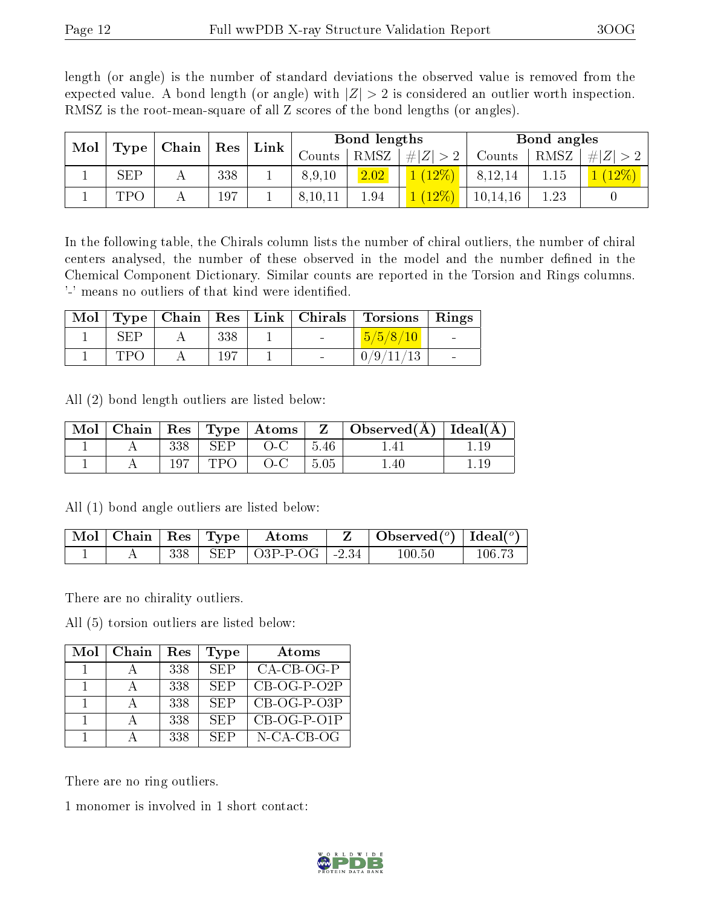length (or angle) is the number of standard deviations the observed value is removed from the expected value. A bond length (or angle) with  $|Z| > 2$  is considered an outlier worth inspection. RMSZ is the root-mean-square of all Z scores of the bond lengths (or angles).

| Mol | ${\rm Res}$ |       |     | Bond lengths |               |      |            | Bond angles |      |     |
|-----|-------------|-------|-----|--------------|---------------|------|------------|-------------|------|-----|
|     | Type        | Chain |     | Link         | $\frac{1}{2}$ | RMSZ | Z <br>$\#$ | Counts      | RMSZ | H Z |
|     | <b>SEP</b>  |       | 338 |              | 8,9,10        | 2.02 | $12\%$     | 8,12,14     | 1.15 |     |
|     | TPC         |       | 197 |              | 8,10,11       | 1.94 | $12\%$     | 10, 14, 16  | 1.23 |     |

In the following table, the Chirals column lists the number of chiral outliers, the number of chiral centers analysed, the number of these observed in the model and the number defined in the Chemical Component Dictionary. Similar counts are reported in the Torsion and Rings columns. '-' means no outliers of that kind were identified.

|     |     |  | Mol   Type   Chain   Res   Link   Chirals   Torsions   Rings |  |
|-----|-----|--|--------------------------------------------------------------|--|
| SEP | 338 |  | 5/5/8/10                                                     |  |
| TPO | 197 |  | 0/9/11/13                                                    |  |

All (2) bond length outliers are listed below:

| Mol |     |            | $\mid$ Chain $\mid$ Res $\mid$ Type $\mid$ Atoms $\mid$ Z $\mid$ |              | $\Box$ Observed( $\AA$ ) $\Box$ Ideal( $\overline{A}$ ) |  |
|-----|-----|------------|------------------------------------------------------------------|--------------|---------------------------------------------------------|--|
|     | 338 | SEP        | $O-C$                                                            | 5.46         |                                                         |  |
|     | 197 | <b>TPO</b> | $O-C$                                                            | $\vert 5.05$ | l.40                                                    |  |

All (1) bond angle outliers are listed below:

| $\mid$ Mol $\mid$ Chain $\mid$ Res $\mid$ Type $\mid$ |     | Atoms                                | Observed $(^\circ)$   Ideal $(^\circ)$ |        |
|-------------------------------------------------------|-----|--------------------------------------|----------------------------------------|--------|
|                                                       | 338 | $\frac{1}{2}$ SEP   O3P-P-OG   -2.34 | $100.50\,$                             | 106.73 |

There are no chirality outliers.

All (5) torsion outliers are listed below:

| Mol | Chain | Res | Type       | Atoms         |
|-----|-------|-----|------------|---------------|
|     |       | 338 | <b>SEP</b> | $CA-CB-OG-P$  |
|     |       | 338 | <b>SEP</b> | $CB-OG-P-O2P$ |
|     |       | 338 | SEP        | $CB-OG-P-O3P$ |
|     |       | 338 | SEP        | $CB-OG-P-O1P$ |
|     |       | 338 | SEP        | $N-CA-CB-OG$  |

There are no ring outliers.

1 monomer is involved in 1 short contact:

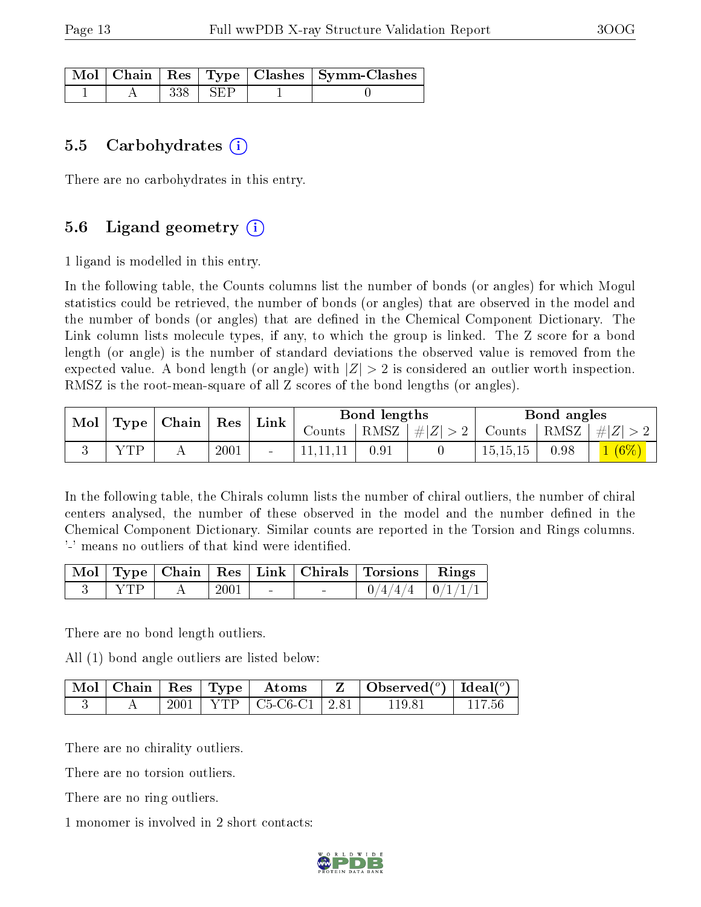|  |       |     | Mol   Chain   Res   Type   Clashes   Symm-Clashes |
|--|-------|-----|---------------------------------------------------|
|  | 338 - | SEP |                                                   |

#### 5.5 Carbohydrates  $(i)$

There are no carbohydrates in this entry.

### 5.6 Ligand geometry  $(i)$

1 ligand is modelled in this entry.

In the following table, the Counts columns list the number of bonds (or angles) for which Mogul statistics could be retrieved, the number of bonds (or angles) that are observed in the model and the number of bonds (or angles) that are defined in the Chemical Component Dictionary. The Link column lists molecule types, if any, to which the group is linked. The Z score for a bond length (or angle) is the number of standard deviations the observed value is removed from the expected value. A bond length (or angle) with  $|Z| > 2$  is considered an outlier worth inspection. RMSZ is the root-mean-square of all Z scores of the bond lengths (or angles).

| Mol |     | $\perp$ Type   Chain   Res |      | Link |          | Bond lengths |                     |                              | Bond angles |          |
|-----|-----|----------------------------|------|------|----------|--------------|---------------------|------------------------------|-------------|----------|
|     |     |                            |      |      | Counts   |              | RMSZ $  \#  Z  > 2$ | Counts   RMSZ $\vert \#  Z $ |             |          |
|     | VTD |                            | 2001 |      | 11.11.11 | 0.91         |                     | 15, 15, 15                   | 0.98        | $1(6\%)$ |

In the following table, the Chirals column lists the number of chiral outliers, the number of chiral centers analysed, the number of these observed in the model and the number defined in the Chemical Component Dictionary. Similar counts are reported in the Torsion and Rings columns. '-' means no outliers of that kind were identified.

|  |      |        | Mol   Type   Chain   Res   Link   Chirals   Torsions   Rings |                    |
|--|------|--------|--------------------------------------------------------------|--------------------|
|  | 2001 | $\sim$ |                                                              | $/4/4/4$   0/1/1/1 |

There are no bond length outliers.

All (1) bond angle outliers are listed below:

|  |  | $\mid$ Mol $\mid$ Chain $\mid$ Res $\mid$ Type $\mid$ Atoms | $\parallel$ Z $\parallel$ Observed( <sup>o</sup> ) $\parallel$ Ideal( <sup>o</sup> ) |        |
|--|--|-------------------------------------------------------------|--------------------------------------------------------------------------------------|--------|
|  |  | 2001   YTP   C5-C6-C1   2.81                                | 119.81                                                                               | 117 56 |

There are no chirality outliers.

There are no torsion outliers.

There are no ring outliers.

1 monomer is involved in 2 short contacts:

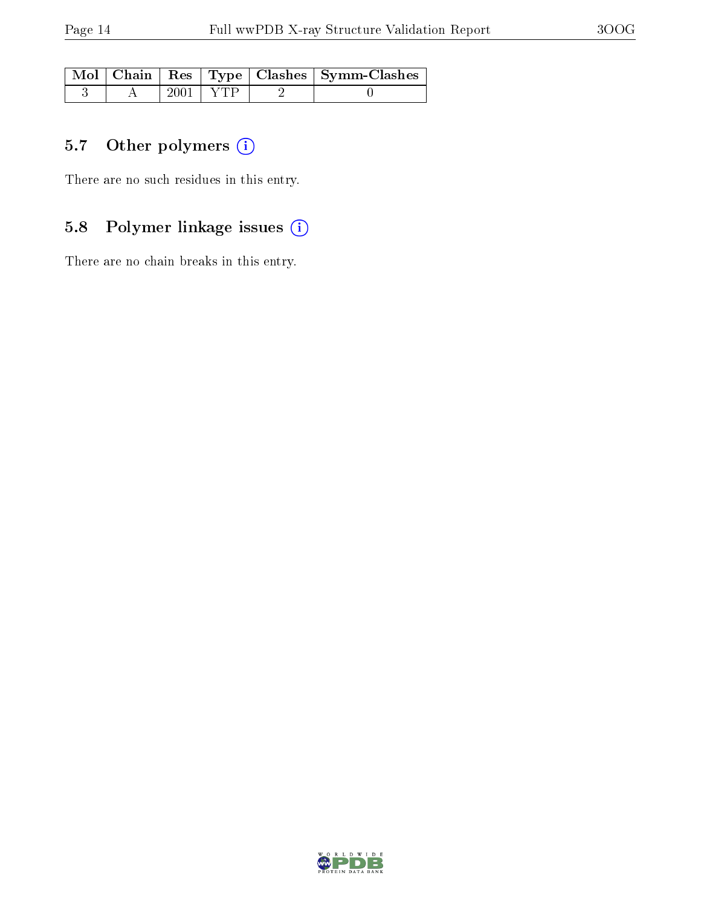|  |              | Mol   Chain   Res   Type   Clashes   Symm-Clashes |
|--|--------------|---------------------------------------------------|
|  | $2001 + YTP$ |                                                   |

## 5.7 [O](https://www.wwpdb.org/validation/2017/XrayValidationReportHelp#nonstandard_residues_and_ligands)ther polymers (i)

There are no such residues in this entry.

## 5.8 Polymer linkage issues (i)

There are no chain breaks in this entry.

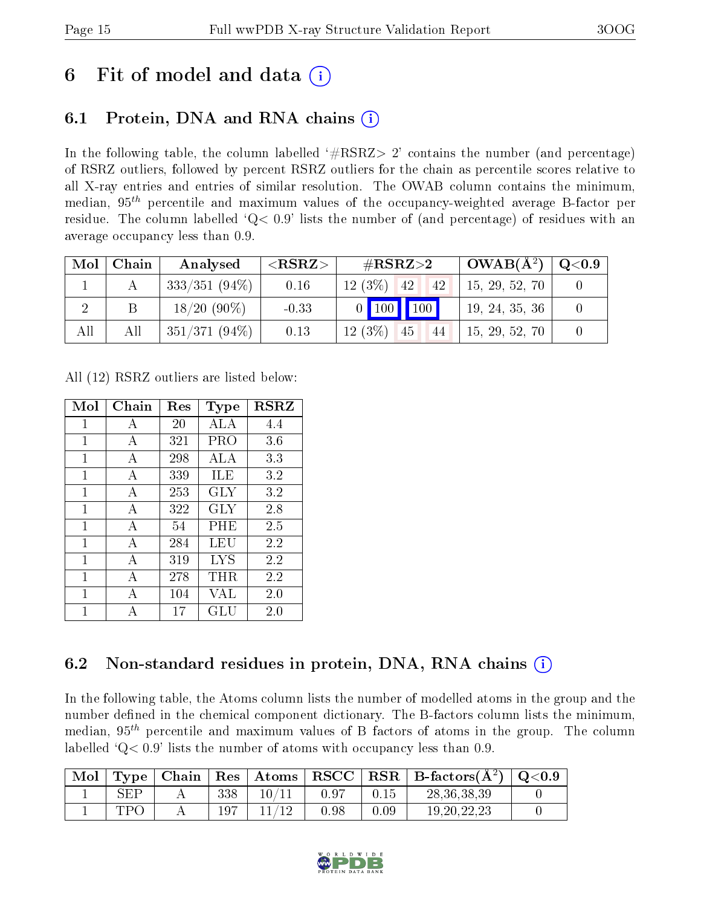## 6 Fit of model and data  $\left( \cdot \right)$

### 6.1 Protein, DNA and RNA chains (i)

In the following table, the column labelled  $#RSRZ>2'$  contains the number (and percentage) of RSRZ outliers, followed by percent RSRZ outliers for the chain as percentile scores relative to all X-ray entries and entries of similar resolution. The OWAB column contains the minimum, median,  $95<sup>th</sup>$  percentile and maximum values of the occupancy-weighted average B-factor per residue. The column labelled ' $Q< 0.9$ ' lists the number of (and percentage) of residues with an average occupancy less than 0.9.

| Mol | Chain | Analysed        | ${ <\hspace{-1.5pt}{\mathrm{RSRZ}} \hspace{-1.5pt}>}$ | $\rm \#RSRZ{>}2$         | $OWAB(A^2)$    | $\mathrm{Q}{<}0.9$ |
|-----|-------|-----------------|-------------------------------------------------------|--------------------------|----------------|--------------------|
|     |       | $333/351(94\%)$ | 0.16                                                  | $12(3\%)$<br> 42 <br> 42 | 15, 29, 52, 70 |                    |
|     |       | $18/20(90\%)$   | $-0.33$                                               | 0   100   100            | 19, 24, 35, 36 |                    |
| All | All   | $351/371(94\%)$ | 0.13                                                  | $12(3\%)$<br>45<br>-44   | 15, 29, 52, 70 |                    |

All (12) RSRZ outliers are listed below:

| Mol | Chain | $\operatorname{Res}% \left( \mathcal{N}\right) \equiv\operatorname{Res}(\mathcal{N}_{0},\mathcal{N}_{0})$ | Type      | <b>RSRZ</b> |
|-----|-------|-----------------------------------------------------------------------------------------------------------|-----------|-------------|
| 1   | A     | 20                                                                                                        | ALA       | 4.4         |
| 1   | А     | 321                                                                                                       | PRO       | 3.6         |
| 1   | А     | 298                                                                                                       | ALA       | 3.3         |
| 1   | A     | 339                                                                                                       | ILE       | 3.2         |
| 1   | A     | 253                                                                                                       | GLY       | 3.2         |
| 1   | А     | 322                                                                                                       | GLY       | 2.8         |
| 1   | А     | 54                                                                                                        | $\rm PHE$ | 2.5         |
| 1   | А     | 284                                                                                                       | LEU       | 2.2         |
| 1   | А     | 319                                                                                                       | LYS       | 2.2         |
| 1   | А     | 278                                                                                                       | $\rm THR$ | 2.2         |
| 1   | А     | 104                                                                                                       | VAL       | 2.0         |
| 1   | А     | 17                                                                                                        | GLU       | 2.0         |

### 6.2 Non-standard residues in protein, DNA, RNA chains  $(i)$

In the following table, the Atoms column lists the number of modelled atoms in the group and the number defined in the chemical component dictionary. The B-factors column lists the minimum, median,  $95<sup>th</sup>$  percentile and maximum values of B factors of atoms in the group. The column labelled  $Q< 0.9$ ' lists the number of atoms with occupancy less than 0.9.

| Mol |     |     | Type   Chain   Res   Atoms   RSCC |      |      | $\mid$ RSR $\mid$ B-factors( $A^2$ ) $\mid$ | $\mid$ Q<0.9 |
|-----|-----|-----|-----------------------------------|------|------|---------------------------------------------|--------------|
|     | SEP | 338 |                                   | 0.97 | 0.15 | 28, 36, 38, 39                              |              |
|     | TDC |     | 19                                | 0.98 | 0.09 | 19, 20, 22, 23                              |              |